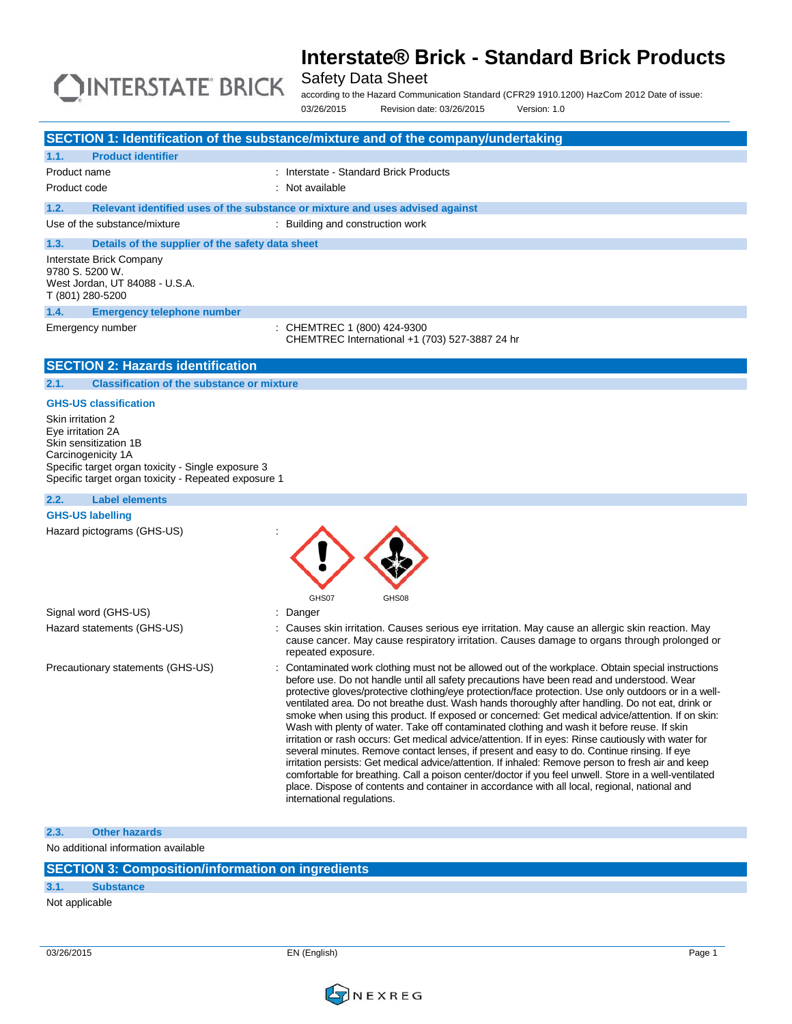

Safety Data Sheet

according to the Hazard Communication Standard (CFR29 1910.1200) HazCom 2012 Date of issue: 03/26/2015 Revision date: 03/26/2015 Version: 1.0

|                                                                                                            | SECTION 1: Identification of the substance/mixture and of the company/undertaking                                                                                                                           |
|------------------------------------------------------------------------------------------------------------|-------------------------------------------------------------------------------------------------------------------------------------------------------------------------------------------------------------|
| <b>Product identifier</b><br>1.1.                                                                          |                                                                                                                                                                                                             |
| Product name                                                                                               | : Interstate - Standard Brick Products                                                                                                                                                                      |
| Product code                                                                                               | : Not available                                                                                                                                                                                             |
| 1.2.                                                                                                       | Relevant identified uses of the substance or mixture and uses advised against                                                                                                                               |
| Use of the substance/mixture                                                                               | : Building and construction work                                                                                                                                                                            |
| 1.3.                                                                                                       |                                                                                                                                                                                                             |
| Details of the supplier of the safety data sheet<br>Interstate Brick Company                               |                                                                                                                                                                                                             |
| 9780 S. 5200 W.                                                                                            |                                                                                                                                                                                                             |
| West Jordan, UT 84088 - U.S.A.                                                                             |                                                                                                                                                                                                             |
| T (801) 280-5200                                                                                           |                                                                                                                                                                                                             |
| 1.4.<br><b>Emergency telephone number</b>                                                                  |                                                                                                                                                                                                             |
| Emergency number                                                                                           | CHEMTREC 1 (800) 424-9300                                                                                                                                                                                   |
|                                                                                                            | CHEMTREC International +1 (703) 527-3887 24 hr                                                                                                                                                              |
| <b>SECTION 2: Hazards identification</b>                                                                   |                                                                                                                                                                                                             |
| 2.1.<br><b>Classification of the substance or mixture</b>                                                  |                                                                                                                                                                                                             |
|                                                                                                            |                                                                                                                                                                                                             |
| <b>GHS-US classification</b>                                                                               |                                                                                                                                                                                                             |
| Skin irritation 2<br>Eye irritation 2A                                                                     |                                                                                                                                                                                                             |
| Skin sensitization 1B                                                                                      |                                                                                                                                                                                                             |
| Carcinogenicity 1A                                                                                         |                                                                                                                                                                                                             |
| Specific target organ toxicity - Single exposure 3<br>Specific target organ toxicity - Repeated exposure 1 |                                                                                                                                                                                                             |
|                                                                                                            |                                                                                                                                                                                                             |
| 2.2.<br><b>Label elements</b>                                                                              |                                                                                                                                                                                                             |
| <b>GHS-US labelling</b>                                                                                    |                                                                                                                                                                                                             |
| Hazard pictograms (GHS-US)                                                                                 |                                                                                                                                                                                                             |
|                                                                                                            |                                                                                                                                                                                                             |
|                                                                                                            |                                                                                                                                                                                                             |
|                                                                                                            |                                                                                                                                                                                                             |
|                                                                                                            | GHS07<br>GHS08                                                                                                                                                                                              |
| Signal word (GHS-US)                                                                                       | Danger                                                                                                                                                                                                      |
| Hazard statements (GHS-US)                                                                                 | : Causes skin irritation. Causes serious eye irritation. May cause an allergic skin reaction. May                                                                                                           |
|                                                                                                            | cause cancer. May cause respiratory irritation. Causes damage to organs through prolonged or<br>repeated exposure.                                                                                          |
|                                                                                                            |                                                                                                                                                                                                             |
| Precautionary statements (GHS-US)                                                                          | Contaminated work clothing must not be allowed out of the workplace. Obtain special instructions<br>before use. Do not handle until all safety precautions have been read and understood. Wear              |
|                                                                                                            | protective gloves/protective clothing/eye protection/face protection. Use only outdoors or in a well-                                                                                                       |
|                                                                                                            | ventilated area. Do not breathe dust. Wash hands thoroughly after handling. Do not eat, drink or                                                                                                            |
|                                                                                                            | smoke when using this product. If exposed or concerned: Get medical advice/attention. If on skin:<br>Wash with plenty of water. Take off contaminated clothing and wash it before reuse. If skin            |
|                                                                                                            | irritation or rash occurs: Get medical advice/attention. If in eyes: Rinse cautiously with water for                                                                                                        |
|                                                                                                            | several minutes. Remove contact lenses, if present and easy to do. Continue rinsing. If eye                                                                                                                 |
|                                                                                                            | irritation persists: Get medical advice/attention. If inhaled: Remove person to fresh air and keep<br>comfortable for breathing. Call a poison center/doctor if you feel unwell. Store in a well-ventilated |
|                                                                                                            | place. Dispose of contents and container in accordance with all local, regional, national and                                                                                                               |
|                                                                                                            | international regulations.                                                                                                                                                                                  |
|                                                                                                            |                                                                                                                                                                                                             |
| 2.3.<br><b>Other hazards</b>                                                                               |                                                                                                                                                                                                             |
| No additional information available                                                                        |                                                                                                                                                                                                             |
|                                                                                                            |                                                                                                                                                                                                             |

**SECTION 3: Composition/information on ingredients**

**3.1. Substance**

Not applicable

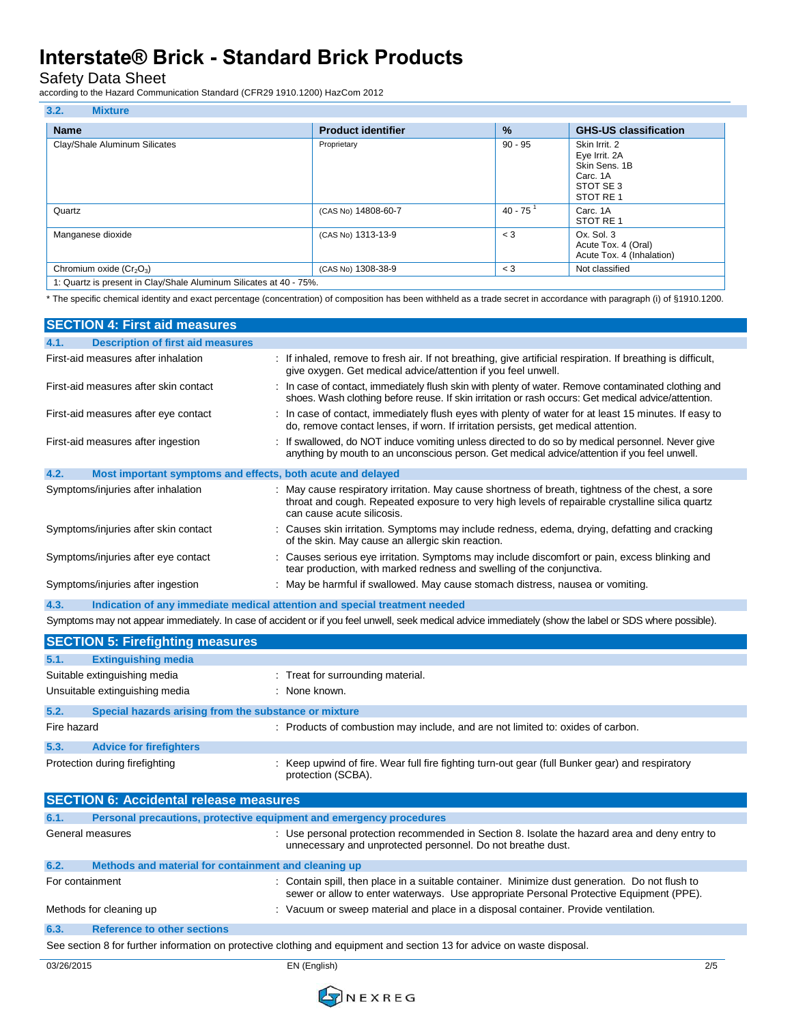Safety Data Sheet

according to the Hazard Communication Standard (CFR29 1910.1200) HazCom 2012

| <b>Name</b>                   | <b>Product identifier</b> | $\%$                   | <b>GHS-US classification</b>                                                         |
|-------------------------------|---------------------------|------------------------|--------------------------------------------------------------------------------------|
| Clay/Shale Aluminum Silicates | Proprietary               | $90 - 95$              | Skin Irrit, 2<br>Eye Irrit. 2A<br>Skin Sens, 1B<br>Carc. 1A<br>STOT SE3<br>STOT RE 1 |
| Quartz                        | (CAS No) 14808-60-7       | $40 - 75$ <sup>1</sup> | Carc. 1A<br>STOT RE 1                                                                |
| Manganese dioxide             | (CAS No) 1313-13-9        | $\leq$ 3               | Ox. Sol. 3<br>Acute Tox. 4 (Oral)<br>Acute Tox. 4 (Inhalation)                       |
| Chromium oxide $(Cr_2O_3)$    | (CAS No) 1308-38-9        | $<$ 3                  | Not classified                                                                       |

\* The specific chemical identity and exact percentage (concentration) of composition has been withheld as a trade secret in accordance with paragraph (i) of §1910.1200.

| <b>SECTION 4: First aid measures</b>                                |                                                                                                                                                                                                                                    |
|---------------------------------------------------------------------|------------------------------------------------------------------------------------------------------------------------------------------------------------------------------------------------------------------------------------|
| <b>Description of first aid measures</b><br>4.1.                    |                                                                                                                                                                                                                                    |
| First-aid measures after inhalation                                 | : If inhaled, remove to fresh air. If not breathing, give artificial respiration. If breathing is difficult,<br>give oxygen. Get medical advice/attention if you feel unwell.                                                      |
| First-aid measures after skin contact                               | : In case of contact, immediately flush skin with plenty of water. Remove contaminated clothing and<br>shoes. Wash clothing before reuse. If skin irritation or rash occurs: Get medical advice/attention.                         |
| First-aid measures after eye contact                                | : In case of contact, immediately flush eyes with plenty of water for at least 15 minutes. If easy to<br>do, remove contact lenses, if worn. If irritation persists, get medical attention.                                        |
| First-aid measures after ingestion                                  | : If swallowed, do NOT induce vomiting unless directed to do so by medical personnel. Never give<br>anything by mouth to an unconscious person. Get medical advice/attention if you feel unwell.                                   |
| 4.2.<br>Most important symptoms and effects, both acute and delayed |                                                                                                                                                                                                                                    |
| Symptoms/injuries after inhalation                                  | : May cause respiratory irritation. May cause shortness of breath, tightness of the chest, a sore<br>throat and cough. Repeated exposure to very high levels of repairable crystalline silica quartz<br>can cause acute silicosis. |
| Symptoms/injuries after skin contact                                | : Causes skin irritation. Symptoms may include redness, edema, drying, defatting and cracking<br>of the skin. May cause an allergic skin reaction.                                                                                 |
| Symptoms/injuries after eye contact                                 | : Causes serious eye irritation. Symptoms may include discomfort or pain, excess blinking and<br>tear production, with marked redness and swelling of the conjunctiva.                                                             |
| Symptoms/injuries after ingestion                                   | : May be harmful if swallowed. May cause stomach distress, nausea or vomiting.                                                                                                                                                     |
| 4.3.                                                                | Indication of any immediate medical attention and special treatment needed                                                                                                                                                         |

Symptoms may not appear immediately. In case of accident or if you feel unwell, seek medical advice immediately (show the label or SDS where possible).

|                                                                                                                         | <b>SECTION 5: Firefighting measures</b>                             |                                                                                                                                                                                           |
|-------------------------------------------------------------------------------------------------------------------------|---------------------------------------------------------------------|-------------------------------------------------------------------------------------------------------------------------------------------------------------------------------------------|
| 5.1.                                                                                                                    | <b>Extinguishing media</b>                                          |                                                                                                                                                                                           |
|                                                                                                                         | Suitable extinguishing media                                        | : Treat for surrounding material.                                                                                                                                                         |
|                                                                                                                         | Unsuitable extinguishing media                                      | : None known.                                                                                                                                                                             |
| 5.2.                                                                                                                    | Special hazards arising from the substance or mixture               |                                                                                                                                                                                           |
| Fire hazard                                                                                                             |                                                                     | : Products of combustion may include, and are not limited to: oxides of carbon.                                                                                                           |
| 5.3.                                                                                                                    | <b>Advice for firefighters</b>                                      |                                                                                                                                                                                           |
|                                                                                                                         | Protection during firefighting                                      | : Keep upwind of fire. Wear full fire fighting turn-out gear (full Bunker gear) and respiratory<br>protection (SCBA).                                                                     |
|                                                                                                                         | <b>SECTION 6: Accidental release measures</b>                       |                                                                                                                                                                                           |
| 6.1.                                                                                                                    | Personal precautions, protective equipment and emergency procedures |                                                                                                                                                                                           |
| General measures                                                                                                        |                                                                     | : Use personal protection recommended in Section 8. Isolate the hazard area and deny entry to<br>unnecessary and unprotected personnel. Do not breathe dust.                              |
| 6.2.                                                                                                                    | Methods and material for containment and cleaning up                |                                                                                                                                                                                           |
| For containment                                                                                                         |                                                                     | : Contain spill, then place in a suitable container. Minimize dust generation. Do not flush to<br>sewer or allow to enter waterways. Use appropriate Personal Protective Equipment (PPE). |
|                                                                                                                         | Methods for cleaning up                                             | : Vacuum or sweep material and place in a disposal container. Provide ventilation.                                                                                                        |
| 6.3.                                                                                                                    | <b>Reference to other sections</b>                                  |                                                                                                                                                                                           |
| See section 8 for further information on protective clothing and equipment and section 13 for advice on waste disposal. |                                                                     |                                                                                                                                                                                           |

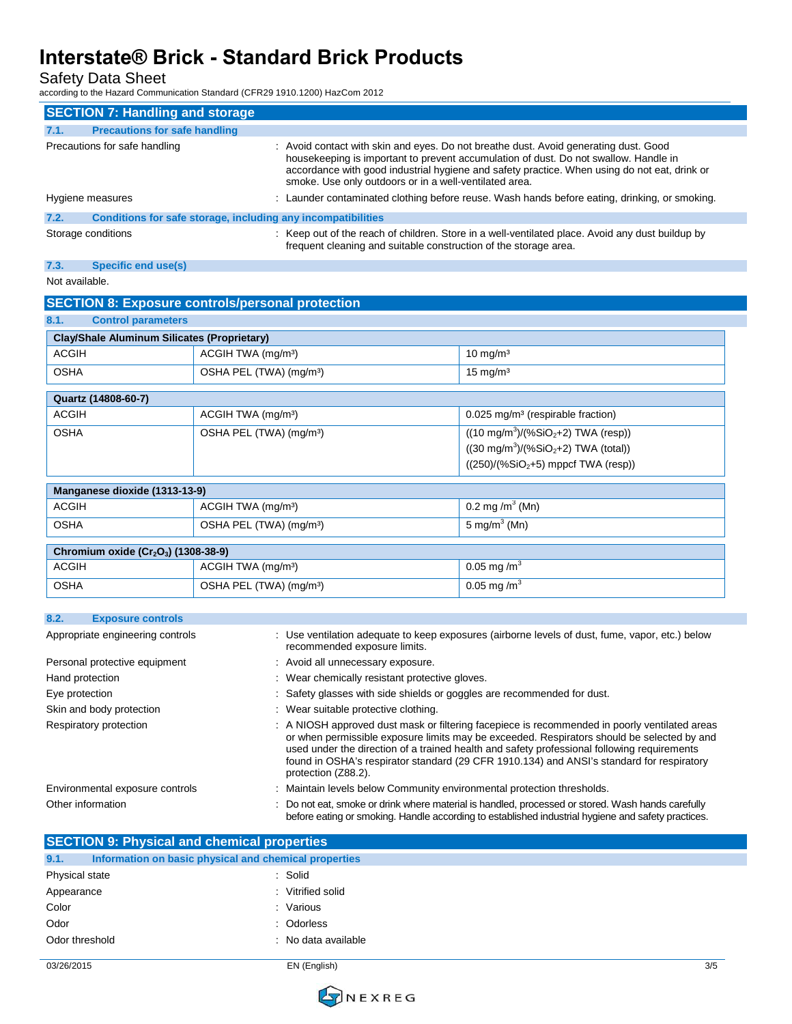Safety Data Sheet

according to the Hazard Communication Standard (CFR29 1910.1200) HazCom 2012

|      | <b>SECTION 7: Handling and storage</b>                       |                                                                                                                                                                                                                                                                                                                                        |
|------|--------------------------------------------------------------|----------------------------------------------------------------------------------------------------------------------------------------------------------------------------------------------------------------------------------------------------------------------------------------------------------------------------------------|
| 7.1. | <b>Precautions for safe handling</b>                         |                                                                                                                                                                                                                                                                                                                                        |
|      | Precautions for safe handling                                | : Avoid contact with skin and eyes. Do not breathe dust. Avoid generating dust. Good<br>housekeeping is important to prevent accumulation of dust. Do not swallow. Handle in<br>accordance with good industrial hygiene and safety practice. When using do not eat, drink or<br>smoke. Use only outdoors or in a well-ventilated area. |
|      | Hygiene measures                                             | : Launder contaminated clothing before reuse. Wash hands before eating, drinking, or smoking.                                                                                                                                                                                                                                          |
| 7.2. | Conditions for safe storage, including any incompatibilities |                                                                                                                                                                                                                                                                                                                                        |
|      | Storage conditions                                           | : Keep out of the reach of children. Store in a well-ventilated place. Avoid any dust buildup by<br>frequent cleaning and suitable construction of the storage area.                                                                                                                                                                   |

#### **7.3. Specific end use(s)**

Not available.

|                                                    | <b>SECTION 8: Exposure controls/personal protection</b>      |                                                                                                                                                                               |  |
|----------------------------------------------------|--------------------------------------------------------------|-------------------------------------------------------------------------------------------------------------------------------------------------------------------------------|--|
| <b>Control parameters</b><br>8.1.                  |                                                              |                                                                                                                                                                               |  |
|                                                    | <b>Clay/Shale Aluminum Silicates (Proprietary)</b>           |                                                                                                                                                                               |  |
| <b>ACGIH</b>                                       | ACGIH TWA (mg/m <sup>3</sup> )                               | $10$ mg/m <sup>3</sup>                                                                                                                                                        |  |
| <b>OSHA</b>                                        | OSHA PEL (TWA) (mg/m <sup>3</sup> )                          | $15 \text{ mg/m}^3$                                                                                                                                                           |  |
| Quartz (14808-60-7)                                |                                                              |                                                                                                                                                                               |  |
| <b>ACGIH</b>                                       | ACGIH TWA (mg/m <sup>3</sup> )                               | 0.025 mg/m <sup>3</sup> (respirable fraction)                                                                                                                                 |  |
| <b>OSHA</b><br>OSHA PEL (TWA) (mg/m <sup>3</sup> ) |                                                              | $((10 \text{ mg/m}^3)/(\% \text{SiO}_2 + 2) \text{ TWA}$ (resp))<br>$((30 \text{ mg/m}^3)/(\% \text{SiO}_2 + 2) \text{ TWA}$ (total))<br>$((250)/(%SiO2+5)$ mppcf TWA (resp)) |  |
| Manganese dioxide (1313-13-9)                      |                                                              |                                                                                                                                                                               |  |
| <b>ACGIH</b>                                       | ACGIH TWA (mg/m <sup>3</sup> )                               | 0.2 mg/m <sup>3</sup> (Mn)                                                                                                                                                    |  |
| <b>OSHA</b>                                        | OSHA PEL (TWA) (mg/m <sup>3</sup> )                          | 5 mg/m $3$ (Mn)                                                                                                                                                               |  |
|                                                    | Chromium oxide (Cr <sub>2</sub> O <sub>3</sub> ) (1308-38-9) |                                                                                                                                                                               |  |
| <b>ACGIH</b>                                       | ACGIH TWA (mg/m <sup>3</sup> )                               | 0.05 mg/m <sup>3</sup>                                                                                                                                                        |  |
| <b>OSHA</b>                                        | OSHA PEL (TWA) (mg/m <sup>3</sup> )                          | 0.05 mg/m <sup>3</sup>                                                                                                                                                        |  |

| 8.2.<br><b>Exposure controls</b> |                                                                                                                                                                                                                                                                                                                                                                                                                |
|----------------------------------|----------------------------------------------------------------------------------------------------------------------------------------------------------------------------------------------------------------------------------------------------------------------------------------------------------------------------------------------------------------------------------------------------------------|
| Appropriate engineering controls | : Use ventilation adequate to keep exposures (airborne levels of dust, fume, vapor, etc.) below<br>recommended exposure limits.                                                                                                                                                                                                                                                                                |
| Personal protective equipment    | : Avoid all unnecessary exposure.                                                                                                                                                                                                                                                                                                                                                                              |
| Hand protection                  | : Wear chemically resistant protective gloves.                                                                                                                                                                                                                                                                                                                                                                 |
| Eye protection                   | : Safety glasses with side shields or goggles are recommended for dust.                                                                                                                                                                                                                                                                                                                                        |
| Skin and body protection         | : Wear suitable protective clothing.                                                                                                                                                                                                                                                                                                                                                                           |
| Respiratory protection           | : A NIOSH approved dust mask or filtering facepiece is recommended in poorly ventilated areas<br>or when permissible exposure limits may be exceeded. Respirators should be selected by and<br>used under the direction of a trained health and safety professional following requirements<br>found in OSHA's respirator standard (29 CFR 1910.134) and ANSI's standard for respiratory<br>protection (Z88.2). |
| Environmental exposure controls  | : Maintain levels below Community environmental protection thresholds.                                                                                                                                                                                                                                                                                                                                         |
| Other information                | : Do not eat, smoke or drink where material is handled, processed or stored. Wash hands carefully<br>before eating or smoking. Handle according to established industrial hygiene and safety practices.                                                                                                                                                                                                        |

#### **SECTION 9: Physical and chemical properties 9.1. Information on basic physical and chemical properties**

| Physical state | : Solid             |
|----------------|---------------------|
| Appearance     | : Vitrified solid   |
| Color          | : Various           |
| Odor           | : Odorless          |
| Odor threshold | : No data available |
|                |                     |

03/26/2015 EN (English) 3/5

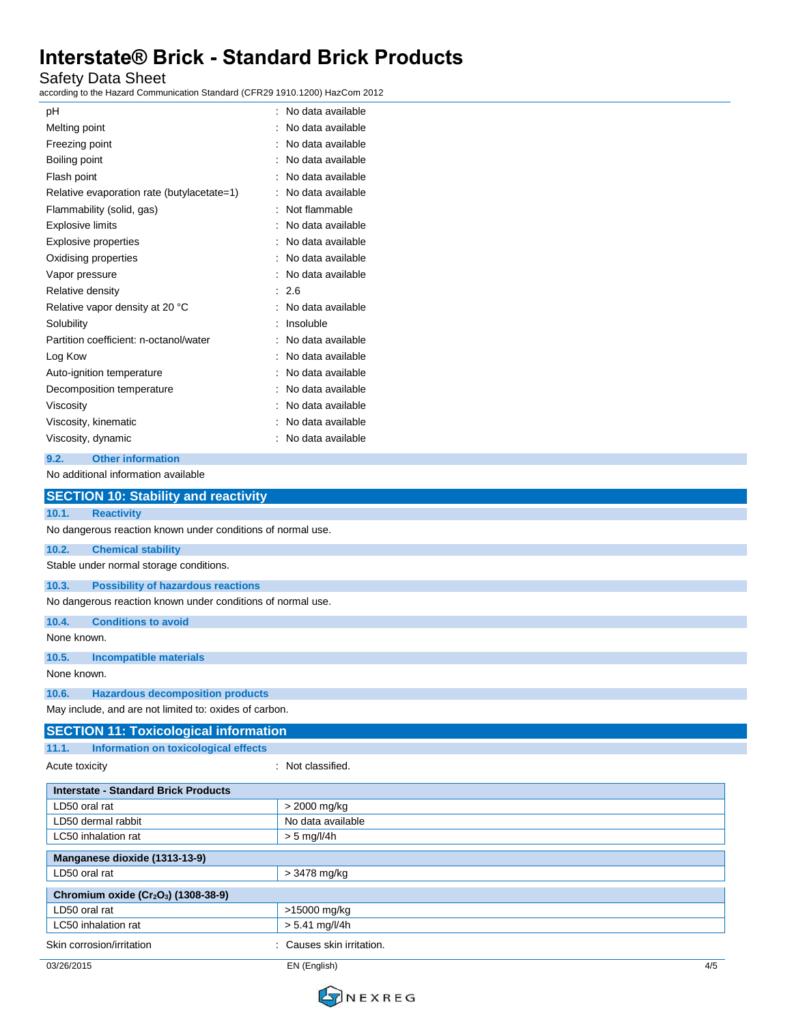Safety Data Sheet

according to the Hazard Communication Standard (CFR29 1910.1200) HazCom 2012

| рH                                         | ۰ | No data available |
|--------------------------------------------|---|-------------------|
| Melting point                              |   | No data available |
| Freezing point                             |   | No data available |
| Boiling point                              |   | No data available |
| Flash point                                |   | No data available |
| Relative evaporation rate (butylacetate=1) |   | No data available |
| Flammability (solid, gas)                  |   | Not flammable     |
| <b>Explosive limits</b>                    |   | No data available |
| <b>Explosive properties</b>                |   | No data available |
| Oxidising properties                       |   | No data available |
| Vapor pressure                             |   | No data available |
| Relative density                           | ۰ | 2.6               |
| Relative vapor density at 20 °C            |   | No data available |
| Solubility                                 |   | Insoluble         |
| Partition coefficient: n-octanol/water     |   | No data available |
| Log Kow                                    |   | No data available |
| Auto-ignition temperature                  |   | No data available |
| Decomposition temperature                  |   | No data available |
| Viscosity                                  |   | No data available |
| Viscosity, kinematic                       |   | No data available |
| Viscosity, dynamic                         |   | No data available |
|                                            |   |                   |

### **9.2. Other information**

No additional information available

| <b>SECTION 10: Stability and reactivity</b>                  |                           |  |  |
|--------------------------------------------------------------|---------------------------|--|--|
| <b>Reactivity</b><br>10.1.                                   |                           |  |  |
| No dangerous reaction known under conditions of normal use.  |                           |  |  |
| 10.2.<br><b>Chemical stability</b>                           |                           |  |  |
| Stable under normal storage conditions.                      |                           |  |  |
| <b>Possibility of hazardous reactions</b><br>10.3.           |                           |  |  |
| No dangerous reaction known under conditions of normal use.  |                           |  |  |
| <b>Conditions to avoid</b><br>10.4.                          |                           |  |  |
| None known.                                                  |                           |  |  |
| 10.5.<br><b>Incompatible materials</b>                       |                           |  |  |
| None known.                                                  |                           |  |  |
| <b>Hazardous decomposition products</b><br>10.6.             |                           |  |  |
| May include, and are not limited to: oxides of carbon.       |                           |  |  |
| <b>SECTION 11: Toxicological information</b>                 |                           |  |  |
| 11.1.<br>Information on toxicological effects                |                           |  |  |
| : Not classified.<br>Acute toxicity                          |                           |  |  |
| <b>Interstate - Standard Brick Products</b>                  |                           |  |  |
| LD50 oral rat                                                | > 2000 mg/kg              |  |  |
| LD50 dermal rabbit                                           | No data available         |  |  |
| LC50 inhalation rat<br>$> 5$ mg/l/4h                         |                           |  |  |
| Manganese dioxide (1313-13-9)                                |                           |  |  |
| LD50 oral rat                                                | > 3478 mg/kg              |  |  |
| Chromium oxide (Cr <sub>2</sub> O <sub>3</sub> ) (1308-38-9) |                           |  |  |
| LD50 oral rat                                                | >15000 mg/kg              |  |  |
| LC50 inhalation rat                                          | $> 5.41$ mg/l/4h          |  |  |
| Skin corrosion/irritation                                    | : Causes skin irritation. |  |  |

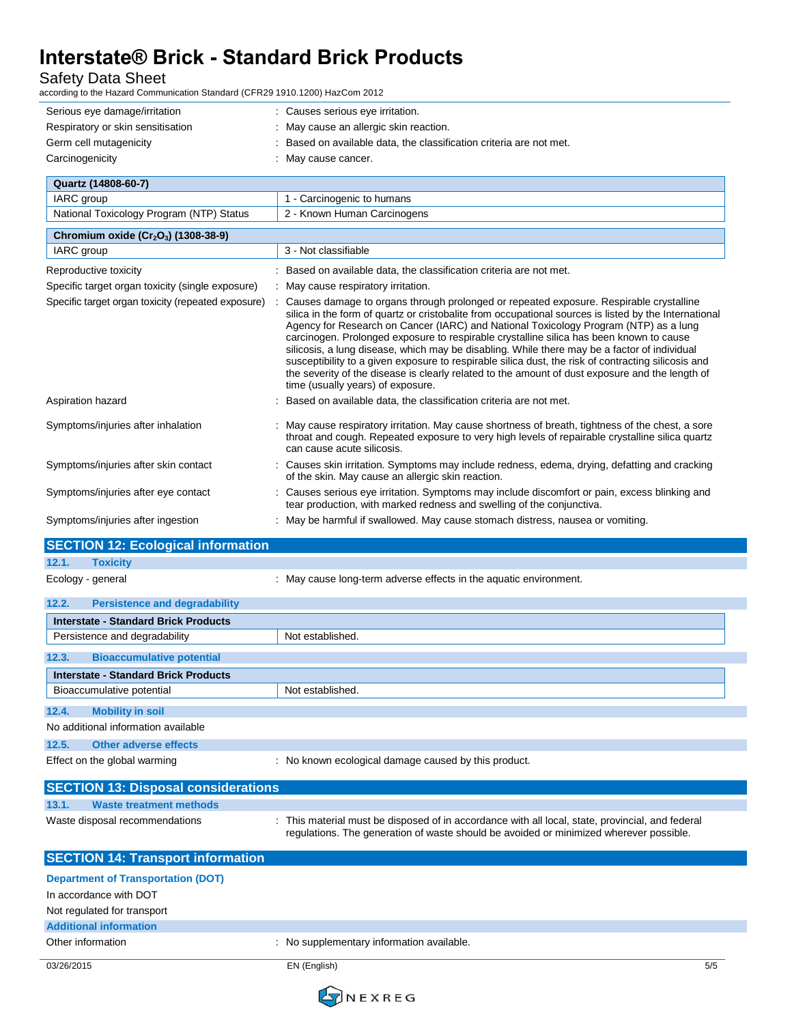Safety Data Sheet<br>according to the Hazard Commur

cation Standard (CFR29 1910.1200) HazCom 2012

| iccording to the Hazard Communication Standard (Cr K29 1910.1200) HazCom 2012 |                                                                                                                                                                                                                                                                                                                                                                                                                                                                                                                                                                                                                                                                                                                                        |
|-------------------------------------------------------------------------------|----------------------------------------------------------------------------------------------------------------------------------------------------------------------------------------------------------------------------------------------------------------------------------------------------------------------------------------------------------------------------------------------------------------------------------------------------------------------------------------------------------------------------------------------------------------------------------------------------------------------------------------------------------------------------------------------------------------------------------------|
| Serious eye damage/irritation<br>Respiratory or skin sensitisation            | : Causes serious eye irritation.<br>: May cause an allergic skin reaction.                                                                                                                                                                                                                                                                                                                                                                                                                                                                                                                                                                                                                                                             |
| Germ cell mutagenicity                                                        | Based on available data, the classification criteria are not met.                                                                                                                                                                                                                                                                                                                                                                                                                                                                                                                                                                                                                                                                      |
| Carcinogenicity                                                               | : May cause cancer.                                                                                                                                                                                                                                                                                                                                                                                                                                                                                                                                                                                                                                                                                                                    |
|                                                                               |                                                                                                                                                                                                                                                                                                                                                                                                                                                                                                                                                                                                                                                                                                                                        |
| Quartz (14808-60-7)                                                           |                                                                                                                                                                                                                                                                                                                                                                                                                                                                                                                                                                                                                                                                                                                                        |
| IARC group                                                                    | 1 - Carcinogenic to humans                                                                                                                                                                                                                                                                                                                                                                                                                                                                                                                                                                                                                                                                                                             |
| National Toxicology Program (NTP) Status                                      | 2 - Known Human Carcinogens                                                                                                                                                                                                                                                                                                                                                                                                                                                                                                                                                                                                                                                                                                            |
| Chromium oxide (Cr <sub>2</sub> O <sub>3</sub> ) (1308-38-9)                  |                                                                                                                                                                                                                                                                                                                                                                                                                                                                                                                                                                                                                                                                                                                                        |
| IARC group                                                                    | 3 - Not classifiable                                                                                                                                                                                                                                                                                                                                                                                                                                                                                                                                                                                                                                                                                                                   |
| Reproductive toxicity                                                         | : Based on available data, the classification criteria are not met.                                                                                                                                                                                                                                                                                                                                                                                                                                                                                                                                                                                                                                                                    |
| Specific target organ toxicity (single exposure)                              | : May cause respiratory irritation.                                                                                                                                                                                                                                                                                                                                                                                                                                                                                                                                                                                                                                                                                                    |
| Specific target organ toxicity (repeated exposure)                            | Causes damage to organs through prolonged or repeated exposure. Respirable crystalline<br>÷<br>silica in the form of quartz or cristobalite from occupational sources is listed by the International<br>Agency for Research on Cancer (IARC) and National Toxicology Program (NTP) as a lung<br>carcinogen. Prolonged exposure to respirable crystalline silica has been known to cause<br>silicosis, a lung disease, which may be disabling. While there may be a factor of individual<br>susceptibility to a given exposure to respirable silica dust, the risk of contracting silicosis and<br>the severity of the disease is clearly related to the amount of dust exposure and the length of<br>time (usually years) of exposure. |
| Aspiration hazard                                                             | Based on available data, the classification criteria are not met.                                                                                                                                                                                                                                                                                                                                                                                                                                                                                                                                                                                                                                                                      |
| Symptoms/injuries after inhalation                                            | May cause respiratory irritation. May cause shortness of breath, tightness of the chest, a sore<br>throat and cough. Repeated exposure to very high levels of repairable crystalline silica quartz<br>can cause acute silicosis.                                                                                                                                                                                                                                                                                                                                                                                                                                                                                                       |
| Symptoms/injuries after skin contact                                          | : Causes skin irritation. Symptoms may include redness, edema, drying, defatting and cracking<br>of the skin. May cause an allergic skin reaction.                                                                                                                                                                                                                                                                                                                                                                                                                                                                                                                                                                                     |
| Symptoms/injuries after eye contact                                           | : Causes serious eye irritation. Symptoms may include discomfort or pain, excess blinking and<br>tear production, with marked redness and swelling of the conjunctiva.                                                                                                                                                                                                                                                                                                                                                                                                                                                                                                                                                                 |
| Symptoms/injuries after ingestion                                             | : May be harmful if swallowed. May cause stomach distress, nausea or vomiting.                                                                                                                                                                                                                                                                                                                                                                                                                                                                                                                                                                                                                                                         |
| <b>SECTION 12: Ecological information</b>                                     |                                                                                                                                                                                                                                                                                                                                                                                                                                                                                                                                                                                                                                                                                                                                        |
| 12.1.<br><b>Toxicity</b>                                                      |                                                                                                                                                                                                                                                                                                                                                                                                                                                                                                                                                                                                                                                                                                                                        |
| Ecology - general                                                             | : May cause long-term adverse effects in the aquatic environment.                                                                                                                                                                                                                                                                                                                                                                                                                                                                                                                                                                                                                                                                      |
| 12.2.<br><b>Persistence and degradability</b>                                 |                                                                                                                                                                                                                                                                                                                                                                                                                                                                                                                                                                                                                                                                                                                                        |
| <b>Interstate - Standard Brick Products</b>                                   |                                                                                                                                                                                                                                                                                                                                                                                                                                                                                                                                                                                                                                                                                                                                        |
| Persistence and degradability                                                 | Not established.                                                                                                                                                                                                                                                                                                                                                                                                                                                                                                                                                                                                                                                                                                                       |
| 12.3.<br><b>Bioaccumulative potential</b>                                     |                                                                                                                                                                                                                                                                                                                                                                                                                                                                                                                                                                                                                                                                                                                                        |
| <b>Interstate - Standard Brick Products</b>                                   |                                                                                                                                                                                                                                                                                                                                                                                                                                                                                                                                                                                                                                                                                                                                        |
| Bioaccumulative potential                                                     | Not established.                                                                                                                                                                                                                                                                                                                                                                                                                                                                                                                                                                                                                                                                                                                       |
| 12.4.<br><b>Mobility in soil</b>                                              |                                                                                                                                                                                                                                                                                                                                                                                                                                                                                                                                                                                                                                                                                                                                        |
| No additional information available                                           |                                                                                                                                                                                                                                                                                                                                                                                                                                                                                                                                                                                                                                                                                                                                        |
| 12.5.<br><b>Other adverse effects</b>                                         |                                                                                                                                                                                                                                                                                                                                                                                                                                                                                                                                                                                                                                                                                                                                        |
| Effect on the global warming                                                  | : No known ecological damage caused by this product.                                                                                                                                                                                                                                                                                                                                                                                                                                                                                                                                                                                                                                                                                   |
|                                                                               |                                                                                                                                                                                                                                                                                                                                                                                                                                                                                                                                                                                                                                                                                                                                        |
| <b>SECTION 13: Disposal considerations</b>                                    |                                                                                                                                                                                                                                                                                                                                                                                                                                                                                                                                                                                                                                                                                                                                        |
| 13.1.<br><b>Waste treatment methods</b>                                       |                                                                                                                                                                                                                                                                                                                                                                                                                                                                                                                                                                                                                                                                                                                                        |
| Waste disposal recommendations                                                | : This material must be disposed of in accordance with all local, state, provincial, and federal<br>regulations. The generation of waste should be avoided or minimized wherever possible.                                                                                                                                                                                                                                                                                                                                                                                                                                                                                                                                             |
| <b>SECTION 14: Transport information</b>                                      |                                                                                                                                                                                                                                                                                                                                                                                                                                                                                                                                                                                                                                                                                                                                        |
| <b>Department of Transportation (DOT)</b>                                     |                                                                                                                                                                                                                                                                                                                                                                                                                                                                                                                                                                                                                                                                                                                                        |
| In accordance with DOT                                                        |                                                                                                                                                                                                                                                                                                                                                                                                                                                                                                                                                                                                                                                                                                                                        |
| Not regulated for transport                                                   |                                                                                                                                                                                                                                                                                                                                                                                                                                                                                                                                                                                                                                                                                                                                        |
| <b>Additional information</b>                                                 |                                                                                                                                                                                                                                                                                                                                                                                                                                                                                                                                                                                                                                                                                                                                        |
| Other information                                                             | : No supplementary information available.                                                                                                                                                                                                                                                                                                                                                                                                                                                                                                                                                                                                                                                                                              |